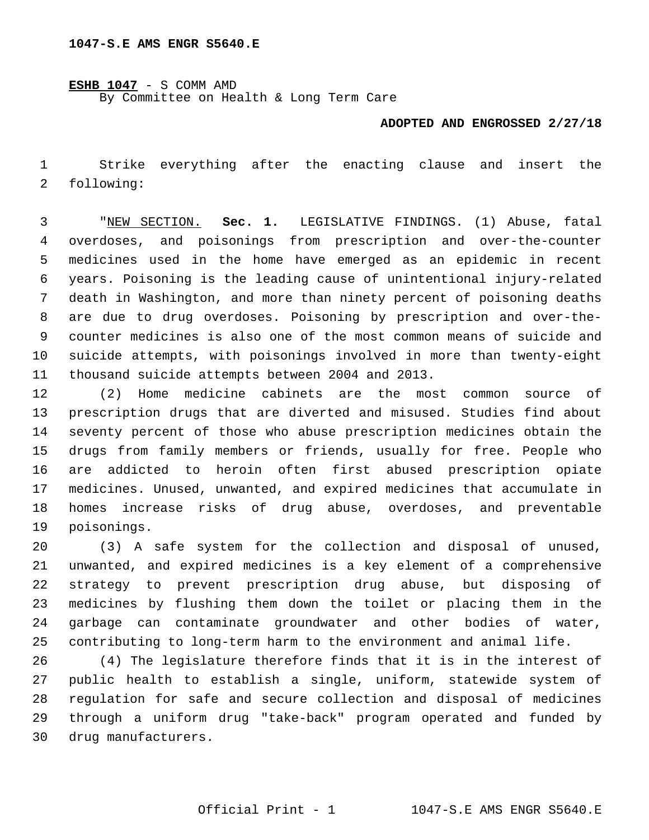**ESHB 1047** - S COMM AMD

By Committee on Health & Long Term Care

## **ADOPTED AND ENGROSSED 2/27/18**

 Strike everything after the enacting clause and insert the 2 following:

 "NEW SECTION. **Sec. 1.** LEGISLATIVE FINDINGS. (1) Abuse, fatal overdoses, and poisonings from prescription and over-the-counter medicines used in the home have emerged as an epidemic in recent years. Poisoning is the leading cause of unintentional injury-related death in Washington, and more than ninety percent of poisoning deaths are due to drug overdoses. Poisoning by prescription and over-the- counter medicines is also one of the most common means of suicide and suicide attempts, with poisonings involved in more than twenty-eight thousand suicide attempts between 2004 and 2013.

 (2) Home medicine cabinets are the most common source of prescription drugs that are diverted and misused. Studies find about seventy percent of those who abuse prescription medicines obtain the drugs from family members or friends, usually for free. People who are addicted to heroin often first abused prescription opiate medicines. Unused, unwanted, and expired medicines that accumulate in homes increase risks of drug abuse, overdoses, and preventable 19 poisonings.

 (3) A safe system for the collection and disposal of unused, unwanted, and expired medicines is a key element of a comprehensive strategy to prevent prescription drug abuse, but disposing of medicines by flushing them down the toilet or placing them in the garbage can contaminate groundwater and other bodies of water, contributing to long-term harm to the environment and animal life.

 (4) The legislature therefore finds that it is in the interest of public health to establish a single, uniform, statewide system of regulation for safe and secure collection and disposal of medicines through a uniform drug "take-back" program operated and funded by drug manufacturers.30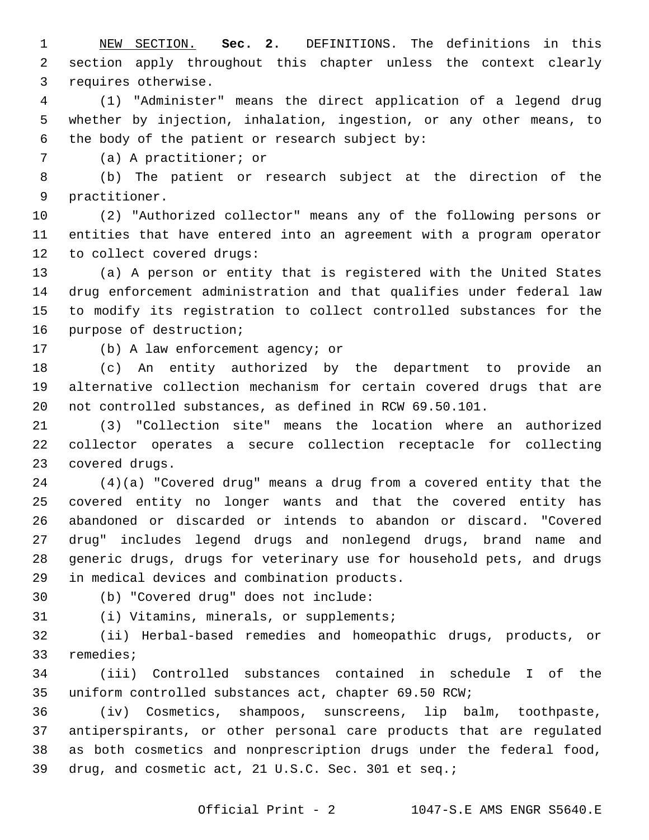NEW SECTION. **Sec. 2.** DEFINITIONS. The definitions in this section apply throughout this chapter unless the context clearly requires otherwise.

 (1) "Administer" means the direct application of a legend drug whether by injection, inhalation, ingestion, or any other means, to 6 the body of the patient or research subject by:

7 (a) A practitioner; or

 (b) The patient or research subject at the direction of the 9 practitioner.

 (2) "Authorized collector" means any of the following persons or entities that have entered into an agreement with a program operator 12 to collect covered drugs:

 (a) A person or entity that is registered with the United States drug enforcement administration and that qualifies under federal law to modify its registration to collect controlled substances for the 16 purpose of destruction;

17 (b) A law enforcement agency; or

 (c) An entity authorized by the department to provide an alternative collection mechanism for certain covered drugs that are not controlled substances, as defined in RCW 69.50.101.

 (3) "Collection site" means the location where an authorized collector operates a secure collection receptacle for collecting 23 covered drugs.

 (4)(a) "Covered drug" means a drug from a covered entity that the covered entity no longer wants and that the covered entity has abandoned or discarded or intends to abandon or discard. "Covered drug" includes legend drugs and nonlegend drugs, brand name and generic drugs, drugs for veterinary use for household pets, and drugs 29 in medical devices and combination products.

(b) "Covered drug" does not include:30

31 (i) Vitamins, minerals, or supplements;

 (ii) Herbal-based remedies and homeopathic drugs, products, or 33 remedies;

 (iii) Controlled substances contained in schedule I of the uniform controlled substances act, chapter 69.50 RCW;

 (iv) Cosmetics, shampoos, sunscreens, lip balm, toothpaste, antiperspirants, or other personal care products that are regulated as both cosmetics and nonprescription drugs under the federal food, drug, and cosmetic act, 21 U.S.C. Sec. 301 et seq.;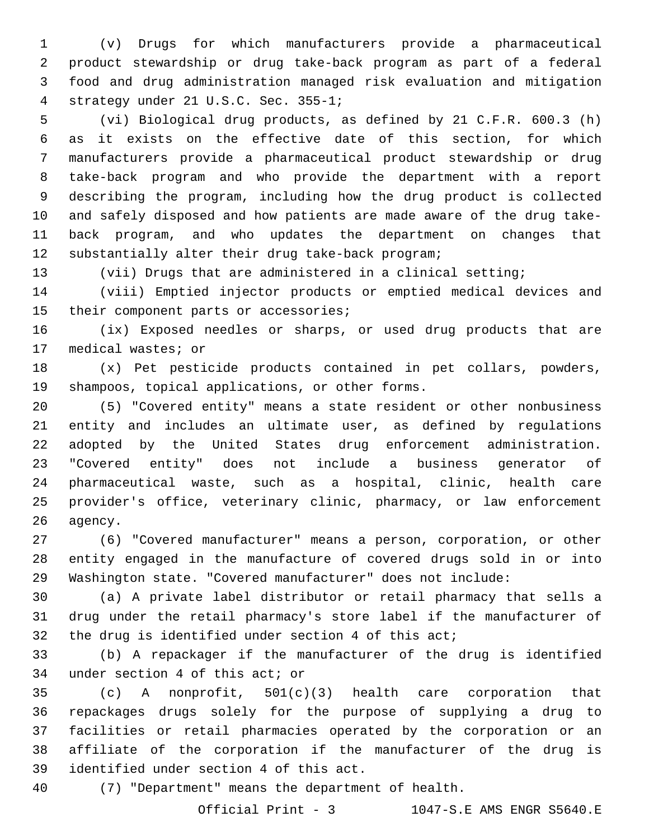(v) Drugs for which manufacturers provide a pharmaceutical product stewardship or drug take-back program as part of a federal food and drug administration managed risk evaluation and mitigation strategy under 21 U.S.C. Sec. 355-1;4

 (vi) Biological drug products, as defined by 21 C.F.R. 600.3 (h) as it exists on the effective date of this section, for which manufacturers provide a pharmaceutical product stewardship or drug take-back program and who provide the department with a report describing the program, including how the drug product is collected and safely disposed and how patients are made aware of the drug take- back program, and who updates the department on changes that 12 substantially alter their drug take-back program;

(vii) Drugs that are administered in a clinical setting;

 (viii) Emptied injector products or emptied medical devices and 15 their component parts or accessories;

 (ix) Exposed needles or sharps, or used drug products that are 17 medical wastes; or

 (x) Pet pesticide products contained in pet collars, powders, 19 shampoos, topical applications, or other forms.

 (5) "Covered entity" means a state resident or other nonbusiness entity and includes an ultimate user, as defined by regulations adopted by the United States drug enforcement administration. "Covered entity" does not include a business generator of pharmaceutical waste, such as a hospital, clinic, health care provider's office, veterinary clinic, pharmacy, or law enforcement 26 agency.

 (6) "Covered manufacturer" means a person, corporation, or other entity engaged in the manufacture of covered drugs sold in or into Washington state. "Covered manufacturer" does not include:

 (a) A private label distributor or retail pharmacy that sells a drug under the retail pharmacy's store label if the manufacturer of the drug is identified under section 4 of this act;

 (b) A repackager if the manufacturer of the drug is identified 34 under section 4 of this act; or

 (c) A nonprofit, 501(c)(3) health care corporation that repackages drugs solely for the purpose of supplying a drug to facilities or retail pharmacies operated by the corporation or an affiliate of the corporation if the manufacturer of the drug is 39 identified under section 4 of this act.

(7) "Department" means the department of health.

Official Print - 3 1047-S.E AMS ENGR S5640.E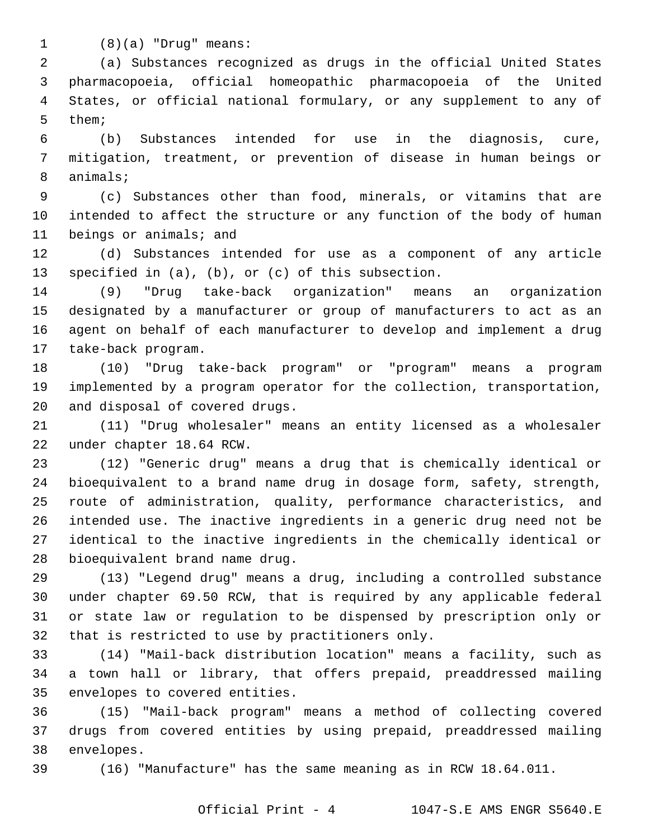(8)(a) "Drug" means:

 (a) Substances recognized as drugs in the official United States pharmacopoeia, official homeopathic pharmacopoeia of the United States, or official national formulary, or any supplement to any of 5 them;

 (b) Substances intended for use in the diagnosis, cure, mitigation, treatment, or prevention of disease in human beings or 8 animals;

 (c) Substances other than food, minerals, or vitamins that are intended to affect the structure or any function of the body of human 11 beings or animals; and

 (d) Substances intended for use as a component of any article 13 specified in  $(a)$ ,  $(b)$ , or  $(c)$  of this subsection.

 (9) "Drug take-back organization" means an organization designated by a manufacturer or group of manufacturers to act as an agent on behalf of each manufacturer to develop and implement a drug 17 take-back program.

 (10) "Drug take-back program" or "program" means a program implemented by a program operator for the collection, transportation, 20 and disposal of covered drugs.

 (11) "Drug wholesaler" means an entity licensed as a wholesaler 22 under chapter 18.64 RCW.

 (12) "Generic drug" means a drug that is chemically identical or bioequivalent to a brand name drug in dosage form, safety, strength, route of administration, quality, performance characteristics, and intended use. The inactive ingredients in a generic drug need not be identical to the inactive ingredients in the chemically identical or 28 bioequivalent brand name drug.

 (13) "Legend drug" means a drug, including a controlled substance under chapter 69.50 RCW, that is required by any applicable federal or state law or regulation to be dispensed by prescription only or 32 that is restricted to use by practitioners only.

 (14) "Mail-back distribution location" means a facility, such as a town hall or library, that offers prepaid, preaddressed mailing 35 envelopes to covered entities.

 (15) "Mail-back program" means a method of collecting covered drugs from covered entities by using prepaid, preaddressed mailing 38 envelopes.

(16) "Manufacture" has the same meaning as in RCW 18.64.011.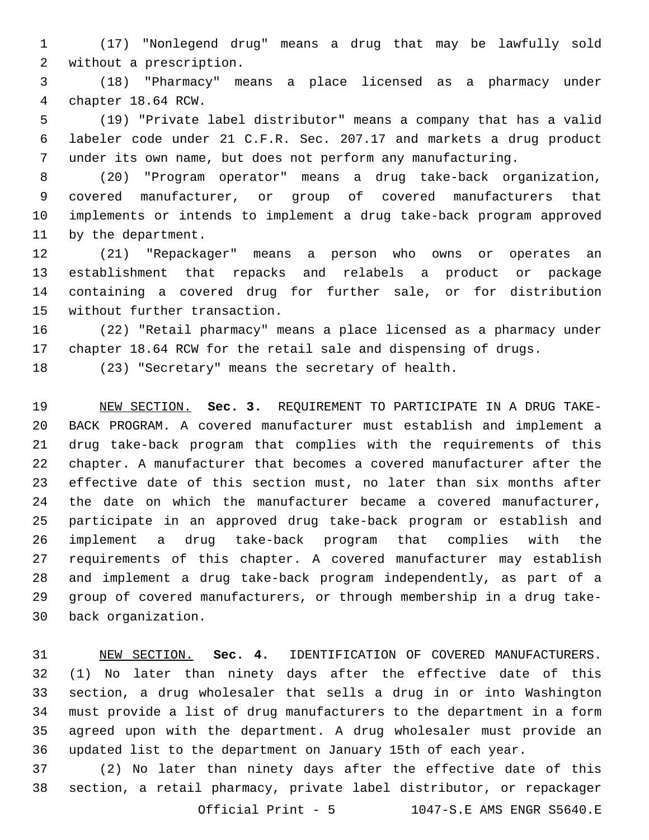(17) "Nonlegend drug" means a drug that may be lawfully sold 2 without a prescription.

 (18) "Pharmacy" means a place licensed as a pharmacy under 4 chapter 18.64 RCW.

 (19) "Private label distributor" means a company that has a valid labeler code under 21 C.F.R. Sec. 207.17 and markets a drug product under its own name, but does not perform any manufacturing.

 (20) "Program operator" means a drug take-back organization, covered manufacturer, or group of covered manufacturers that implements or intends to implement a drug take-back program approved 11 by the department.

 (21) "Repackager" means a person who owns or operates an establishment that repacks and relabels a product or package containing a covered drug for further sale, or for distribution 15 without further transaction.

 (22) "Retail pharmacy" means a place licensed as a pharmacy under chapter 18.64 RCW for the retail sale and dispensing of drugs.

(23) "Secretary" means the secretary of health.

 NEW SECTION. **Sec. 3.** REQUIREMENT TO PARTICIPATE IN A DRUG TAKE- BACK PROGRAM. A covered manufacturer must establish and implement a drug take-back program that complies with the requirements of this chapter. A manufacturer that becomes a covered manufacturer after the effective date of this section must, no later than six months after the date on which the manufacturer became a covered manufacturer, participate in an approved drug take-back program or establish and implement a drug take-back program that complies with the requirements of this chapter. A covered manufacturer may establish and implement a drug take-back program independently, as part of a group of covered manufacturers, or through membership in a drug take-back organization.

 NEW SECTION. **Sec. 4.** IDENTIFICATION OF COVERED MANUFACTURERS. (1) No later than ninety days after the effective date of this section, a drug wholesaler that sells a drug in or into Washington must provide a list of drug manufacturers to the department in a form agreed upon with the department. A drug wholesaler must provide an updated list to the department on January 15th of each year.

 (2) No later than ninety days after the effective date of this section, a retail pharmacy, private label distributor, or repackager

Official Print - 5 1047-S.E AMS ENGR S5640.E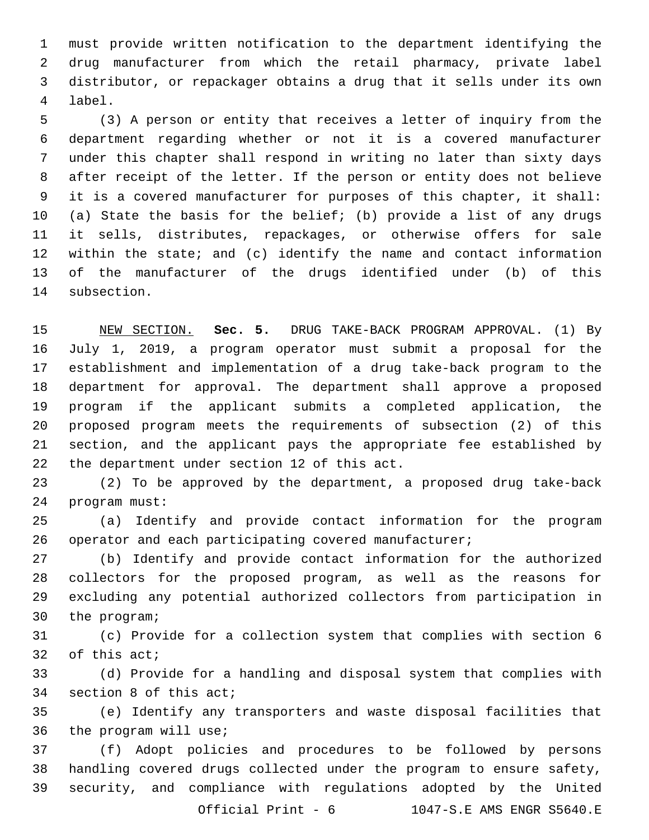must provide written notification to the department identifying the drug manufacturer from which the retail pharmacy, private label distributor, or repackager obtains a drug that it sells under its own label.4

 (3) A person or entity that receives a letter of inquiry from the department regarding whether or not it is a covered manufacturer under this chapter shall respond in writing no later than sixty days after receipt of the letter. If the person or entity does not believe it is a covered manufacturer for purposes of this chapter, it shall: (a) State the basis for the belief; (b) provide a list of any drugs it sells, distributes, repackages, or otherwise offers for sale within the state; and (c) identify the name and contact information of the manufacturer of the drugs identified under (b) of this 14 subsection.

 NEW SECTION. **Sec. 5.** DRUG TAKE-BACK PROGRAM APPROVAL. (1) By July 1, 2019, a program operator must submit a proposal for the establishment and implementation of a drug take-back program to the department for approval. The department shall approve a proposed program if the applicant submits a completed application, the proposed program meets the requirements of subsection (2) of this section, and the applicant pays the appropriate fee established by the department under section 12 of this act.

 (2) To be approved by the department, a proposed drug take-back 24 program must:

 (a) Identify and provide contact information for the program operator and each participating covered manufacturer;

 (b) Identify and provide contact information for the authorized collectors for the proposed program, as well as the reasons for excluding any potential authorized collectors from participation in 30 the program;

 (c) Provide for a collection system that complies with section 6 of this act;

 (d) Provide for a handling and disposal system that complies with 34 section 8 of this act;

 (e) Identify any transporters and waste disposal facilities that 36 the program will use;

 (f) Adopt policies and procedures to be followed by persons handling covered drugs collected under the program to ensure safety, security, and compliance with regulations adopted by the United Official Print - 6 1047-S.E AMS ENGR S5640.E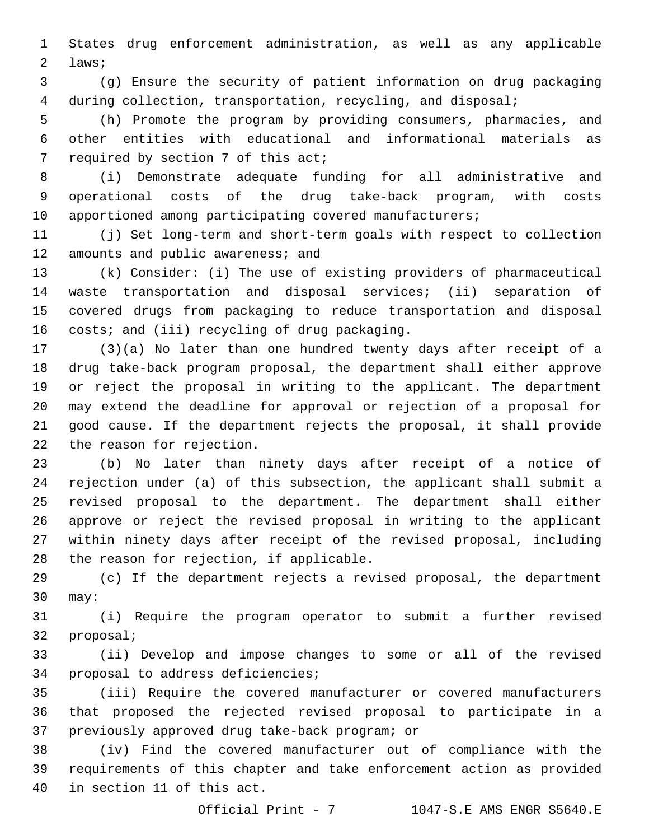States drug enforcement administration, as well as any applicable 2 laws;

 (g) Ensure the security of patient information on drug packaging during collection, transportation, recycling, and disposal;

 (h) Promote the program by providing consumers, pharmacies, and other entities with educational and informational materials as 7 required by section 7 of this act;

 (i) Demonstrate adequate funding for all administrative and operational costs of the drug take-back program, with costs apportioned among participating covered manufacturers;

 (j) Set long-term and short-term goals with respect to collection 12 amounts and public awareness; and

 (k) Consider: (i) The use of existing providers of pharmaceutical waste transportation and disposal services; (ii) separation of covered drugs from packaging to reduce transportation and disposal 16 costs; and (iii) recycling of drug packaging.

 (3)(a) No later than one hundred twenty days after receipt of a drug take-back program proposal, the department shall either approve or reject the proposal in writing to the applicant. The department may extend the deadline for approval or rejection of a proposal for good cause. If the department rejects the proposal, it shall provide 22 the reason for rejection.

 (b) No later than ninety days after receipt of a notice of rejection under (a) of this subsection, the applicant shall submit a revised proposal to the department. The department shall either approve or reject the revised proposal in writing to the applicant within ninety days after receipt of the revised proposal, including 28 the reason for rejection, if applicable.

 (c) If the department rejects a revised proposal, the department 30 may:

 (i) Require the program operator to submit a further revised 32 proposal;

 (ii) Develop and impose changes to some or all of the revised 34 proposal to address deficiencies;

 (iii) Require the covered manufacturer or covered manufacturers that proposed the rejected revised proposal to participate in a 37 previously approved drug take-back program; or

 (iv) Find the covered manufacturer out of compliance with the requirements of this chapter and take enforcement action as provided 40 in section 11 of this act.

Official Print - 7 1047-S.E AMS ENGR S5640.E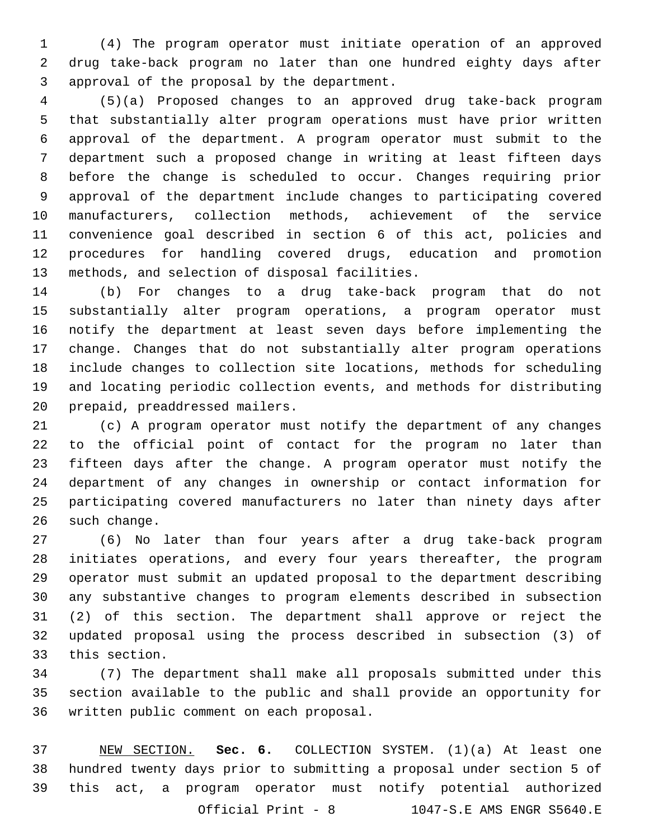(4) The program operator must initiate operation of an approved drug take-back program no later than one hundred eighty days after 3 approval of the proposal by the department.

 (5)(a) Proposed changes to an approved drug take-back program that substantially alter program operations must have prior written approval of the department. A program operator must submit to the department such a proposed change in writing at least fifteen days before the change is scheduled to occur. Changes requiring prior approval of the department include changes to participating covered manufacturers, collection methods, achievement of the service convenience goal described in section 6 of this act, policies and procedures for handling covered drugs, education and promotion 13 methods, and selection of disposal facilities.

 (b) For changes to a drug take-back program that do not substantially alter program operations, a program operator must notify the department at least seven days before implementing the change. Changes that do not substantially alter program operations include changes to collection site locations, methods for scheduling and locating periodic collection events, and methods for distributing 20 prepaid, preaddressed mailers.

 (c) A program operator must notify the department of any changes to the official point of contact for the program no later than fifteen days after the change. A program operator must notify the department of any changes in ownership or contact information for participating covered manufacturers no later than ninety days after 26 such change.

 (6) No later than four years after a drug take-back program initiates operations, and every four years thereafter, the program operator must submit an updated proposal to the department describing any substantive changes to program elements described in subsection (2) of this section. The department shall approve or reject the updated proposal using the process described in subsection (3) of 33 this section.

 (7) The department shall make all proposals submitted under this section available to the public and shall provide an opportunity for 36 written public comment on each proposal.

 NEW SECTION. **Sec. 6.** COLLECTION SYSTEM. (1)(a) At least one hundred twenty days prior to submitting a proposal under section 5 of this act, a program operator must notify potential authorized Official Print - 8 1047-S.E AMS ENGR S5640.E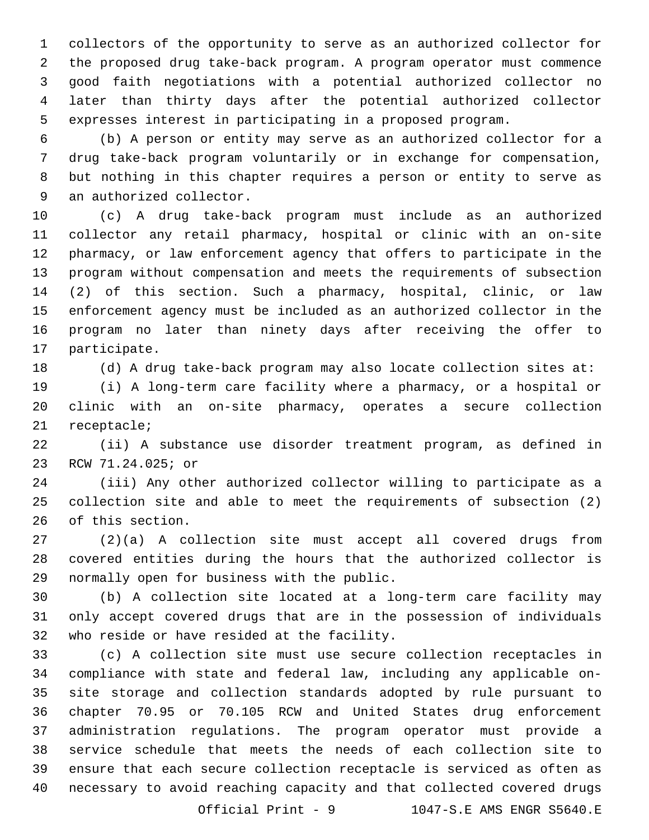collectors of the opportunity to serve as an authorized collector for the proposed drug take-back program. A program operator must commence good faith negotiations with a potential authorized collector no later than thirty days after the potential authorized collector expresses interest in participating in a proposed program.

 (b) A person or entity may serve as an authorized collector for a drug take-back program voluntarily or in exchange for compensation, but nothing in this chapter requires a person or entity to serve as 9 an authorized collector.

 (c) A drug take-back program must include as an authorized collector any retail pharmacy, hospital or clinic with an on-site pharmacy, or law enforcement agency that offers to participate in the program without compensation and meets the requirements of subsection (2) of this section. Such a pharmacy, hospital, clinic, or law enforcement agency must be included as an authorized collector in the program no later than ninety days after receiving the offer to 17 participate.

(d) A drug take-back program may also locate collection sites at:

 (i) A long-term care facility where a pharmacy, or a hospital or clinic with an on-site pharmacy, operates a secure collection 21 receptacle;

 (ii) A substance use disorder treatment program, as defined in 23 RCW 71.24.025; or

 (iii) Any other authorized collector willing to participate as a collection site and able to meet the requirements of subsection (2) 26 of this section.

 (2)(a) A collection site must accept all covered drugs from covered entities during the hours that the authorized collector is 29 normally open for business with the public.

 (b) A collection site located at a long-term care facility may only accept covered drugs that are in the possession of individuals 32 who reside or have resided at the facility.

 (c) A collection site must use secure collection receptacles in compliance with state and federal law, including any applicable on- site storage and collection standards adopted by rule pursuant to chapter 70.95 or 70.105 RCW and United States drug enforcement administration regulations. The program operator must provide a service schedule that meets the needs of each collection site to ensure that each secure collection receptacle is serviced as often as necessary to avoid reaching capacity and that collected covered drugs

Official Print - 9 1047-S.E AMS ENGR S5640.E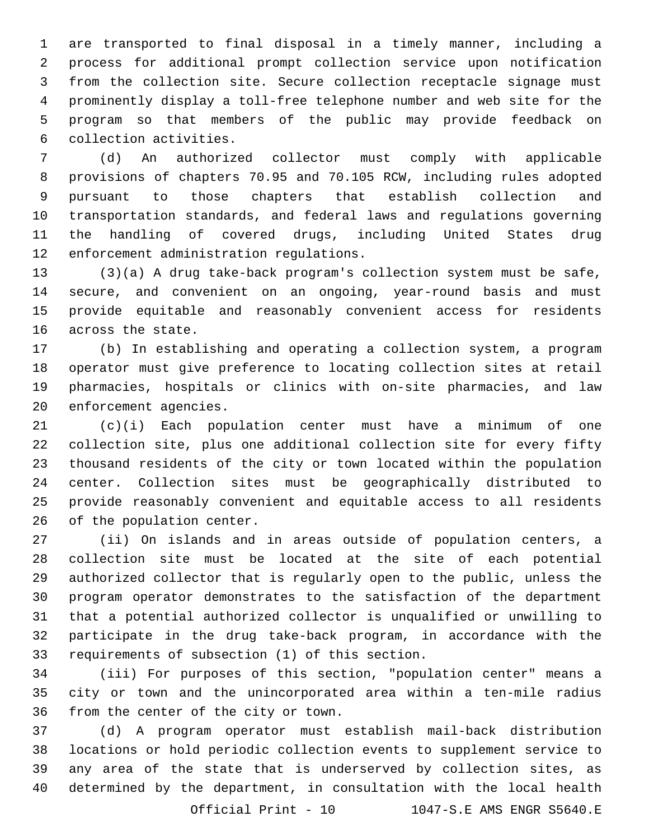are transported to final disposal in a timely manner, including a process for additional prompt collection service upon notification from the collection site. Secure collection receptacle signage must prominently display a toll-free telephone number and web site for the program so that members of the public may provide feedback on 6 collection activities.

 (d) An authorized collector must comply with applicable provisions of chapters 70.95 and 70.105 RCW, including rules adopted pursuant to those chapters that establish collection and transportation standards, and federal laws and regulations governing the handling of covered drugs, including United States drug 12 enforcement administration regulations.

 (3)(a) A drug take-back program's collection system must be safe, secure, and convenient on an ongoing, year-round basis and must provide equitable and reasonably convenient access for residents 16 across the state.

 (b) In establishing and operating a collection system, a program operator must give preference to locating collection sites at retail pharmacies, hospitals or clinics with on-site pharmacies, and law 20 enforcement agencies.

 (c)(i) Each population center must have a minimum of one collection site, plus one additional collection site for every fifty thousand residents of the city or town located within the population center. Collection sites must be geographically distributed to provide reasonably convenient and equitable access to all residents 26 of the population center.

 (ii) On islands and in areas outside of population centers, a collection site must be located at the site of each potential authorized collector that is regularly open to the public, unless the program operator demonstrates to the satisfaction of the department that a potential authorized collector is unqualified or unwilling to participate in the drug take-back program, in accordance with the 33 requirements of subsection (1) of this section.

 (iii) For purposes of this section, "population center" means a city or town and the unincorporated area within a ten-mile radius 36 from the center of the city or town.

 (d) A program operator must establish mail-back distribution locations or hold periodic collection events to supplement service to any area of the state that is underserved by collection sites, as determined by the department, in consultation with the local health

Official Print - 10 1047-S.E AMS ENGR S5640.E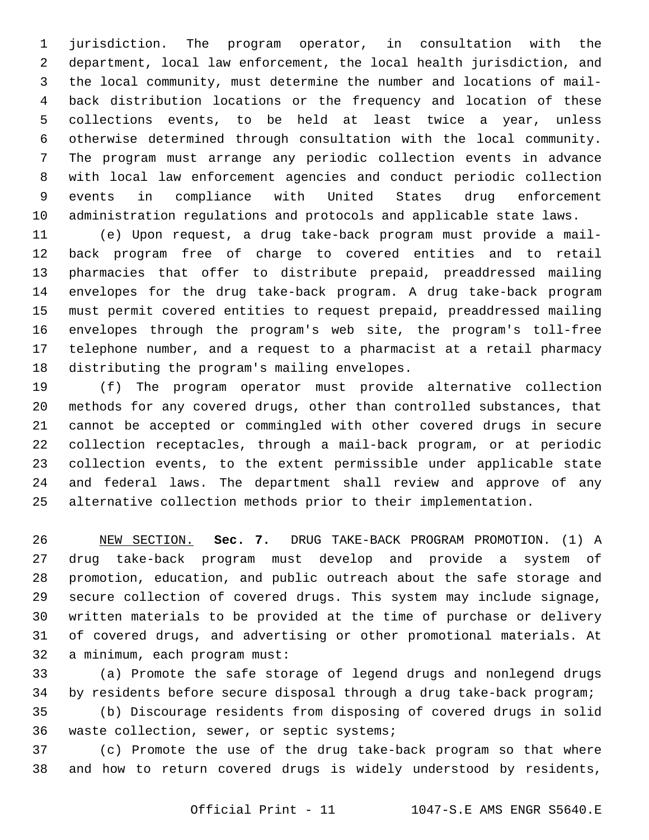jurisdiction. The program operator, in consultation with the department, local law enforcement, the local health jurisdiction, and the local community, must determine the number and locations of mail- back distribution locations or the frequency and location of these collections events, to be held at least twice a year, unless otherwise determined through consultation with the local community. The program must arrange any periodic collection events in advance with local law enforcement agencies and conduct periodic collection events in compliance with United States drug enforcement administration regulations and protocols and applicable state laws.

 (e) Upon request, a drug take-back program must provide a mail- back program free of charge to covered entities and to retail pharmacies that offer to distribute prepaid, preaddressed mailing envelopes for the drug take-back program. A drug take-back program must permit covered entities to request prepaid, preaddressed mailing envelopes through the program's web site, the program's toll-free telephone number, and a request to a pharmacist at a retail pharmacy 18 distributing the program's mailing envelopes.

 (f) The program operator must provide alternative collection methods for any covered drugs, other than controlled substances, that cannot be accepted or commingled with other covered drugs in secure collection receptacles, through a mail-back program, or at periodic collection events, to the extent permissible under applicable state and federal laws. The department shall review and approve of any alternative collection methods prior to their implementation.

 NEW SECTION. **Sec. 7.** DRUG TAKE-BACK PROGRAM PROMOTION. (1) A drug take-back program must develop and provide a system of promotion, education, and public outreach about the safe storage and secure collection of covered drugs. This system may include signage, written materials to be provided at the time of purchase or delivery of covered drugs, and advertising or other promotional materials. At a minimum, each program must:

 (a) Promote the safe storage of legend drugs and nonlegend drugs by residents before secure disposal through a drug take-back program;

 (b) Discourage residents from disposing of covered drugs in solid 36 waste collection, sewer, or septic systems;

 (c) Promote the use of the drug take-back program so that where and how to return covered drugs is widely understood by residents,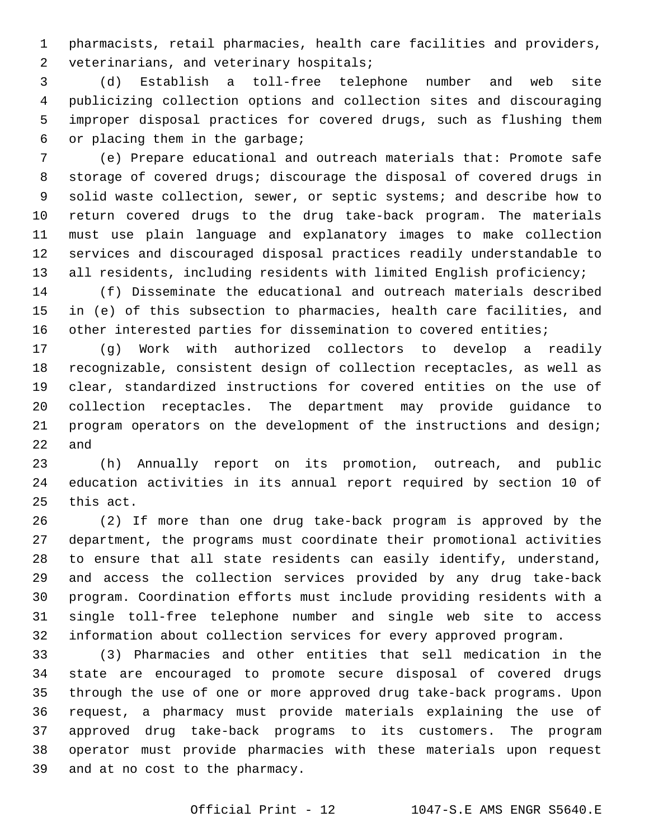pharmacists, retail pharmacies, health care facilities and providers, 2 veterinarians, and veterinary hospitals;

 (d) Establish a toll-free telephone number and web site publicizing collection options and collection sites and discouraging improper disposal practices for covered drugs, such as flushing them or placing them in the garbage;6

 (e) Prepare educational and outreach materials that: Promote safe storage of covered drugs; discourage the disposal of covered drugs in solid waste collection, sewer, or septic systems; and describe how to return covered drugs to the drug take-back program. The materials must use plain language and explanatory images to make collection services and discouraged disposal practices readily understandable to 13 all residents, including residents with limited English proficiency;

 (f) Disseminate the educational and outreach materials described in (e) of this subsection to pharmacies, health care facilities, and 16 other interested parties for dissemination to covered entities;

 (g) Work with authorized collectors to develop a readily recognizable, consistent design of collection receptacles, as well as clear, standardized instructions for covered entities on the use of collection receptacles. The department may provide guidance to program operators on the development of the instructions and design; and

 (h) Annually report on its promotion, outreach, and public education activities in its annual report required by section 10 of 25 this act.

 (2) If more than one drug take-back program is approved by the department, the programs must coordinate their promotional activities to ensure that all state residents can easily identify, understand, and access the collection services provided by any drug take-back program. Coordination efforts must include providing residents with a single toll-free telephone number and single web site to access information about collection services for every approved program.

 (3) Pharmacies and other entities that sell medication in the state are encouraged to promote secure disposal of covered drugs through the use of one or more approved drug take-back programs. Upon request, a pharmacy must provide materials explaining the use of approved drug take-back programs to its customers. The program operator must provide pharmacies with these materials upon request 39 and at no cost to the pharmacy.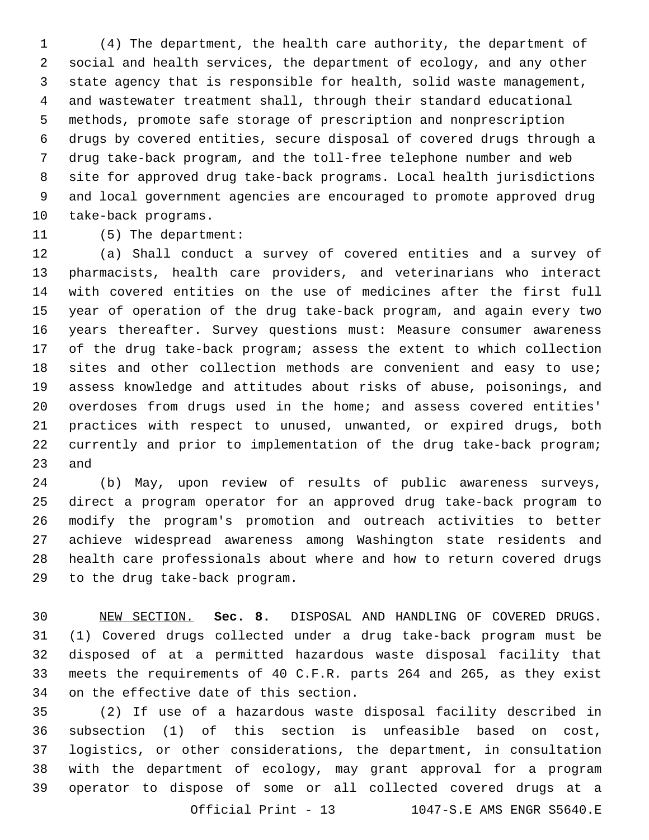(4) The department, the health care authority, the department of social and health services, the department of ecology, and any other state agency that is responsible for health, solid waste management, and wastewater treatment shall, through their standard educational methods, promote safe storage of prescription and nonprescription drugs by covered entities, secure disposal of covered drugs through a drug take-back program, and the toll-free telephone number and web site for approved drug take-back programs. Local health jurisdictions and local government agencies are encouraged to promote approved drug 10 take-back programs.

## 11 (5) The department:

 (a) Shall conduct a survey of covered entities and a survey of pharmacists, health care providers, and veterinarians who interact with covered entities on the use of medicines after the first full year of operation of the drug take-back program, and again every two years thereafter. Survey questions must: Measure consumer awareness of the drug take-back program; assess the extent to which collection sites and other collection methods are convenient and easy to use; assess knowledge and attitudes about risks of abuse, poisonings, and overdoses from drugs used in the home; and assess covered entities' practices with respect to unused, unwanted, or expired drugs, both currently and prior to implementation of the drug take-back program; and

 (b) May, upon review of results of public awareness surveys, direct a program operator for an approved drug take-back program to modify the program's promotion and outreach activities to better achieve widespread awareness among Washington state residents and health care professionals about where and how to return covered drugs 29 to the drug take-back program.

 NEW SECTION. **Sec. 8.** DISPOSAL AND HANDLING OF COVERED DRUGS. (1) Covered drugs collected under a drug take-back program must be disposed of at a permitted hazardous waste disposal facility that meets the requirements of 40 C.F.R. parts 264 and 265, as they exist on the effective date of this section.

 (2) If use of a hazardous waste disposal facility described in subsection (1) of this section is unfeasible based on cost, logistics, or other considerations, the department, in consultation with the department of ecology, may grant approval for a program operator to dispose of some or all collected covered drugs at a Official Print - 13 1047-S.E AMS ENGR S5640.E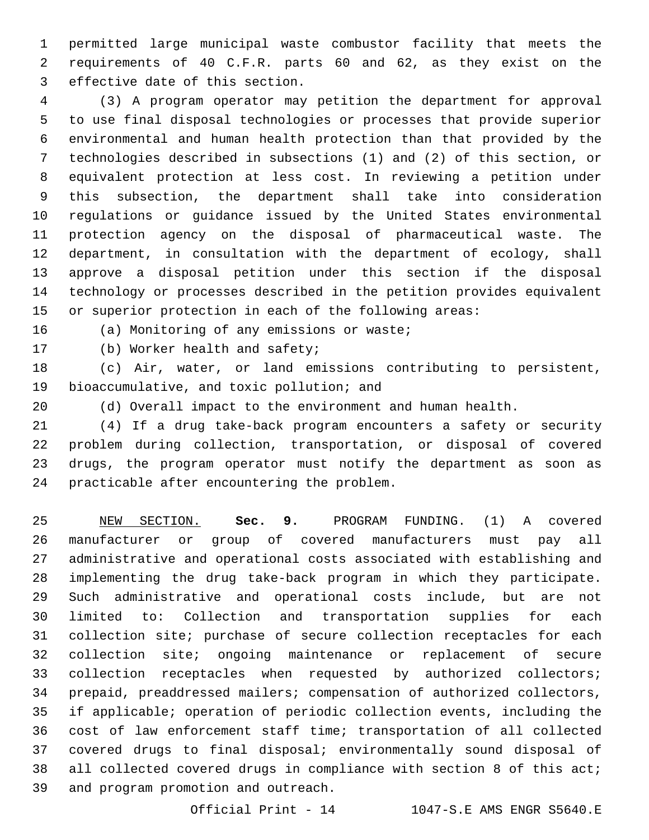permitted large municipal waste combustor facility that meets the requirements of 40 C.F.R. parts 60 and 62, as they exist on the 3 effective date of this section.

 (3) A program operator may petition the department for approval to use final disposal technologies or processes that provide superior environmental and human health protection than that provided by the technologies described in subsections (1) and (2) of this section, or equivalent protection at less cost. In reviewing a petition under this subsection, the department shall take into consideration regulations or guidance issued by the United States environmental protection agency on the disposal of pharmaceutical waste. The department, in consultation with the department of ecology, shall approve a disposal petition under this section if the disposal technology or processes described in the petition provides equivalent or superior protection in each of the following areas:

16 (a) Monitoring of any emissions or waste;

17 (b) Worker health and safety;

 (c) Air, water, or land emissions contributing to persistent, 19 bioaccumulative, and toxic pollution; and

(d) Overall impact to the environment and human health.

 (4) If a drug take-back program encounters a safety or security problem during collection, transportation, or disposal of covered drugs, the program operator must notify the department as soon as 24 practicable after encountering the problem.

 NEW SECTION. **Sec. 9.** PROGRAM FUNDING. (1) A covered manufacturer or group of covered manufacturers must pay all administrative and operational costs associated with establishing and implementing the drug take-back program in which they participate. Such administrative and operational costs include, but are not limited to: Collection and transportation supplies for each collection site; purchase of secure collection receptacles for each collection site; ongoing maintenance or replacement of secure collection receptacles when requested by authorized collectors; prepaid, preaddressed mailers; compensation of authorized collectors, if applicable; operation of periodic collection events, including the cost of law enforcement staff time; transportation of all collected covered drugs to final disposal; environmentally sound disposal of 38 all collected covered drugs in compliance with section 8 of this act; and program promotion and outreach.

Official Print - 14 1047-S.E AMS ENGR S5640.E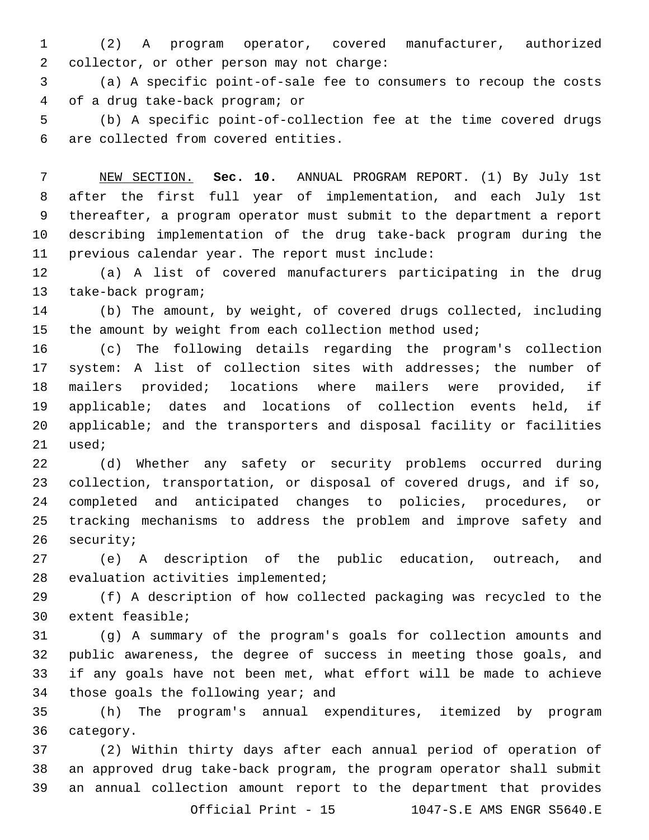(2) A program operator, covered manufacturer, authorized 2 collector, or other person may not charge:

 (a) A specific point-of-sale fee to consumers to recoup the costs of a drug take-back program; or4

 (b) A specific point-of-collection fee at the time covered drugs 6 are collected from covered entities.

 NEW SECTION. **Sec. 10.** ANNUAL PROGRAM REPORT. (1) By July 1st after the first full year of implementation, and each July 1st thereafter, a program operator must submit to the department a report describing implementation of the drug take-back program during the previous calendar year. The report must include:

 (a) A list of covered manufacturers participating in the drug 13 take-back program;

 (b) The amount, by weight, of covered drugs collected, including 15 the amount by weight from each collection method used;

 (c) The following details regarding the program's collection system: A list of collection sites with addresses; the number of mailers provided; locations where mailers were provided, if applicable; dates and locations of collection events held, if applicable; and the transporters and disposal facility or facilities 21 used;

 (d) Whether any safety or security problems occurred during collection, transportation, or disposal of covered drugs, and if so, completed and anticipated changes to policies, procedures, or tracking mechanisms to address the problem and improve safety and 26 security;

 (e) A description of the public education, outreach, and 28 evaluation activities implemented;

 (f) A description of how collected packaging was recycled to the 30 extent feasible;

 (g) A summary of the program's goals for collection amounts and public awareness, the degree of success in meeting those goals, and if any goals have not been met, what effort will be made to achieve 34 those goals the following year; and

 (h) The program's annual expenditures, itemized by program 36 category.

 (2) Within thirty days after each annual period of operation of an approved drug take-back program, the program operator shall submit an annual collection amount report to the department that provides

Official Print - 15 1047-S.E AMS ENGR S5640.E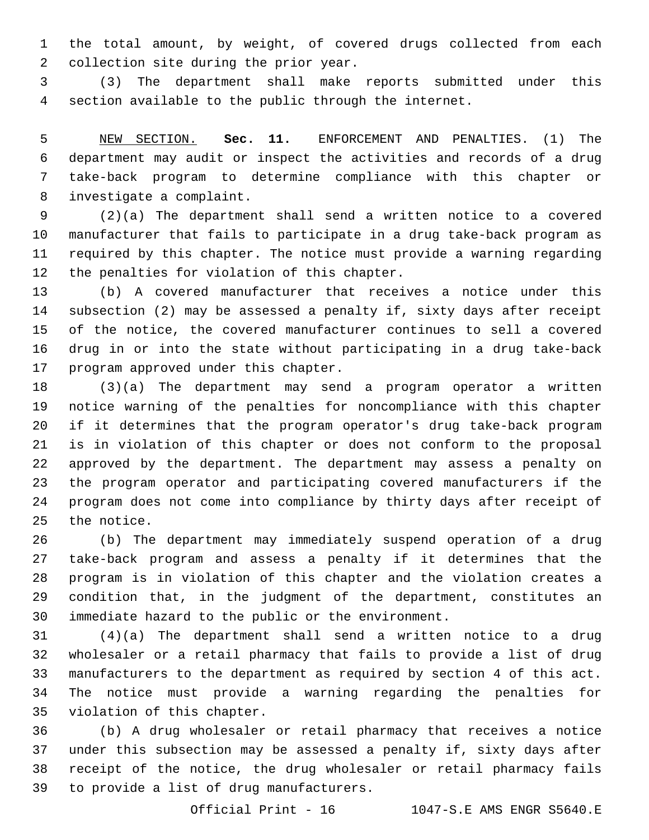the total amount, by weight, of covered drugs collected from each 2 collection site during the prior year.

 (3) The department shall make reports submitted under this section available to the public through the internet.

 NEW SECTION. **Sec. 11.** ENFORCEMENT AND PENALTIES. (1) The department may audit or inspect the activities and records of a drug take-back program to determine compliance with this chapter or investigate a complaint.

 (2)(a) The department shall send a written notice to a covered manufacturer that fails to participate in a drug take-back program as required by this chapter. The notice must provide a warning regarding 12 the penalties for violation of this chapter.

 (b) A covered manufacturer that receives a notice under this subsection (2) may be assessed a penalty if, sixty days after receipt of the notice, the covered manufacturer continues to sell a covered drug in or into the state without participating in a drug take-back 17 program approved under this chapter.

 (3)(a) The department may send a program operator a written notice warning of the penalties for noncompliance with this chapter if it determines that the program operator's drug take-back program is in violation of this chapter or does not conform to the proposal approved by the department. The department may assess a penalty on the program operator and participating covered manufacturers if the program does not come into compliance by thirty days after receipt of 25 the notice.

 (b) The department may immediately suspend operation of a drug take-back program and assess a penalty if it determines that the program is in violation of this chapter and the violation creates a condition that, in the judgment of the department, constitutes an immediate hazard to the public or the environment.

 (4)(a) The department shall send a written notice to a drug wholesaler or a retail pharmacy that fails to provide a list of drug manufacturers to the department as required by section 4 of this act. The notice must provide a warning regarding the penalties for 35 violation of this chapter.

 (b) A drug wholesaler or retail pharmacy that receives a notice under this subsection may be assessed a penalty if, sixty days after receipt of the notice, the drug wholesaler or retail pharmacy fails 39 to provide a list of drug manufacturers.

Official Print - 16 1047-S.E AMS ENGR S5640.E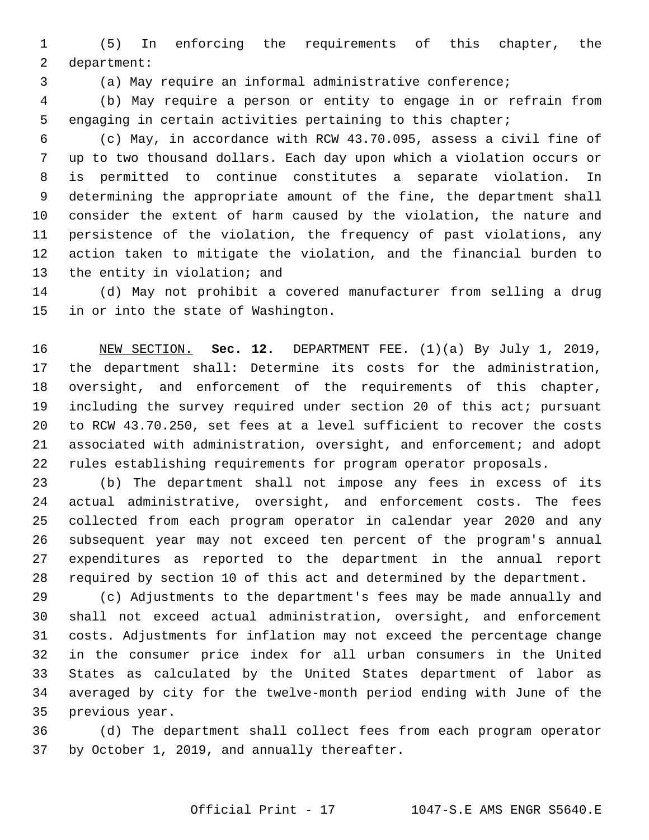(5) In enforcing the requirements of this chapter, the 2 department:

(a) May require an informal administrative conference;

 (b) May require a person or entity to engage in or refrain from engaging in certain activities pertaining to this chapter;

 (c) May, in accordance with RCW 43.70.095, assess a civil fine of up to two thousand dollars. Each day upon which a violation occurs or is permitted to continue constitutes a separate violation. In determining the appropriate amount of the fine, the department shall consider the extent of harm caused by the violation, the nature and persistence of the violation, the frequency of past violations, any action taken to mitigate the violation, and the financial burden to 13 the entity in violation; and

 (d) May not prohibit a covered manufacturer from selling a drug 15 in or into the state of Washington.

 NEW SECTION. **Sec. 12.** DEPARTMENT FEE. (1)(a) By July 1, 2019, the department shall: Determine its costs for the administration, oversight, and enforcement of the requirements of this chapter, including the survey required under section 20 of this act; pursuant to RCW 43.70.250, set fees at a level sufficient to recover the costs associated with administration, oversight, and enforcement; and adopt rules establishing requirements for program operator proposals.

 (b) The department shall not impose any fees in excess of its actual administrative, oversight, and enforcement costs. The fees collected from each program operator in calendar year 2020 and any subsequent year may not exceed ten percent of the program's annual expenditures as reported to the department in the annual report required by section 10 of this act and determined by the department.

 (c) Adjustments to the department's fees may be made annually and shall not exceed actual administration, oversight, and enforcement costs. Adjustments for inflation may not exceed the percentage change in the consumer price index for all urban consumers in the United States as calculated by the United States department of labor as averaged by city for the twelve-month period ending with June of the 35 previous year.

 (d) The department shall collect fees from each program operator 37 by October 1, 2019, and annually thereafter.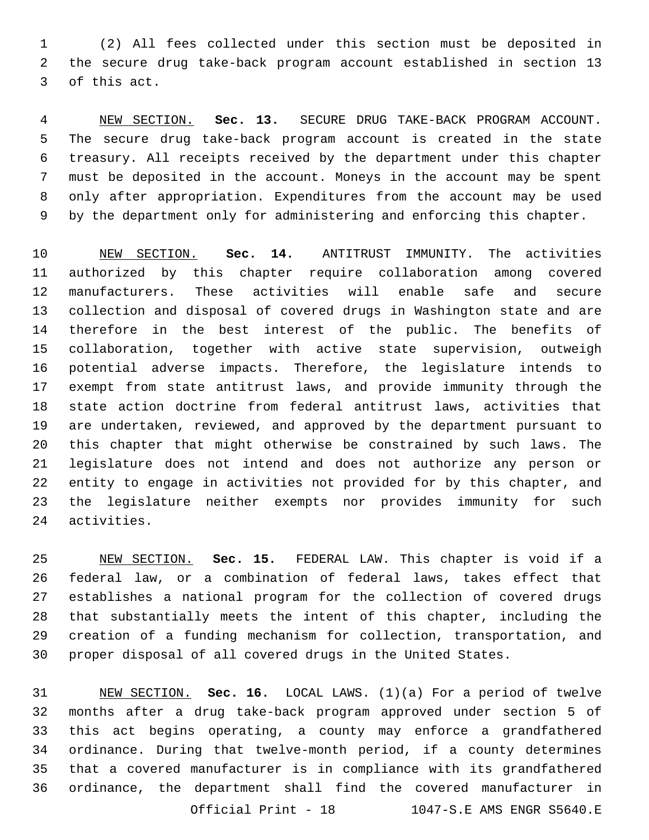(2) All fees collected under this section must be deposited in the secure drug take-back program account established in section 13 3 of this act.

 NEW SECTION. **Sec. 13.** SECURE DRUG TAKE-BACK PROGRAM ACCOUNT. The secure drug take-back program account is created in the state treasury. All receipts received by the department under this chapter must be deposited in the account. Moneys in the account may be spent only after appropriation. Expenditures from the account may be used by the department only for administering and enforcing this chapter.

 NEW SECTION. **Sec. 14.** ANTITRUST IMMUNITY. The activities authorized by this chapter require collaboration among covered manufacturers. These activities will enable safe and secure collection and disposal of covered drugs in Washington state and are therefore in the best interest of the public. The benefits of collaboration, together with active state supervision, outweigh potential adverse impacts. Therefore, the legislature intends to exempt from state antitrust laws, and provide immunity through the state action doctrine from federal antitrust laws, activities that are undertaken, reviewed, and approved by the department pursuant to this chapter that might otherwise be constrained by such laws. The legislature does not intend and does not authorize any person or entity to engage in activities not provided for by this chapter, and the legislature neither exempts nor provides immunity for such activities.

 NEW SECTION. **Sec. 15.** FEDERAL LAW. This chapter is void if a federal law, or a combination of federal laws, takes effect that establishes a national program for the collection of covered drugs that substantially meets the intent of this chapter, including the creation of a funding mechanism for collection, transportation, and proper disposal of all covered drugs in the United States.

 NEW SECTION. **Sec. 16.** LOCAL LAWS. (1)(a) For a period of twelve months after a drug take-back program approved under section 5 of this act begins operating, a county may enforce a grandfathered ordinance. During that twelve-month period, if a county determines that a covered manufacturer is in compliance with its grandfathered ordinance, the department shall find the covered manufacturer in Official Print - 18 1047-S.E AMS ENGR S5640.E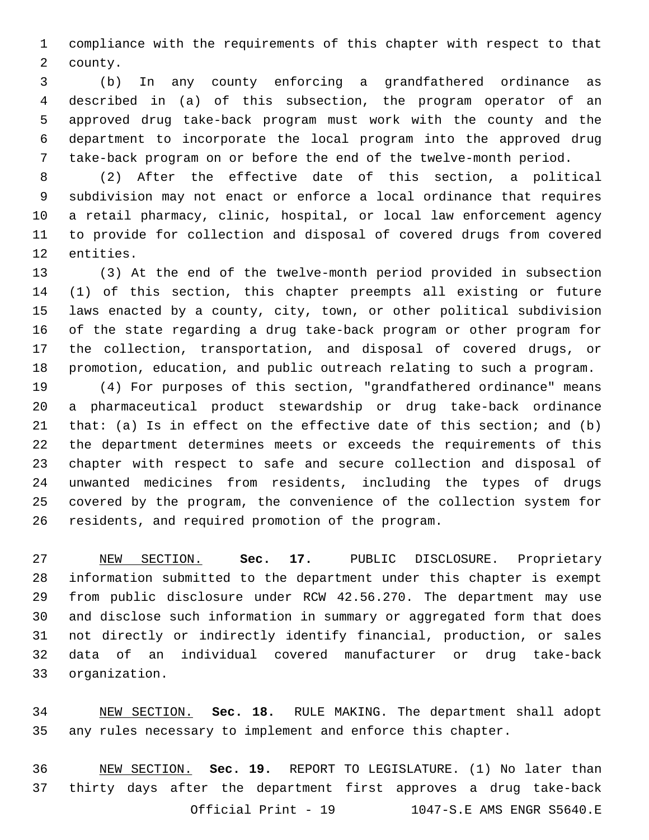compliance with the requirements of this chapter with respect to that 2 county.

 (b) In any county enforcing a grandfathered ordinance as described in (a) of this subsection, the program operator of an approved drug take-back program must work with the county and the department to incorporate the local program into the approved drug take-back program on or before the end of the twelve-month period.

 (2) After the effective date of this section, a political subdivision may not enact or enforce a local ordinance that requires a retail pharmacy, clinic, hospital, or local law enforcement agency to provide for collection and disposal of covered drugs from covered 12 entities.

 (3) At the end of the twelve-month period provided in subsection (1) of this section, this chapter preempts all existing or future laws enacted by a county, city, town, or other political subdivision of the state regarding a drug take-back program or other program for the collection, transportation, and disposal of covered drugs, or promotion, education, and public outreach relating to such a program.

 (4) For purposes of this section, "grandfathered ordinance" means a pharmaceutical product stewardship or drug take-back ordinance that: (a) Is in effect on the effective date of this section; and (b) the department determines meets or exceeds the requirements of this chapter with respect to safe and secure collection and disposal of unwanted medicines from residents, including the types of drugs covered by the program, the convenience of the collection system for 26 residents, and required promotion of the program.

 NEW SECTION. **Sec. 17.** PUBLIC DISCLOSURE. Proprietary information submitted to the department under this chapter is exempt from public disclosure under RCW 42.56.270. The department may use and disclose such information in summary or aggregated form that does not directly or indirectly identify financial, production, or sales data of an individual covered manufacturer or drug take-back organization.

 NEW SECTION. **Sec. 18.** RULE MAKING. The department shall adopt any rules necessary to implement and enforce this chapter.

 NEW SECTION. **Sec. 19.** REPORT TO LEGISLATURE. (1) No later than thirty days after the department first approves a drug take-back Official Print - 19 1047-S.E AMS ENGR S5640.E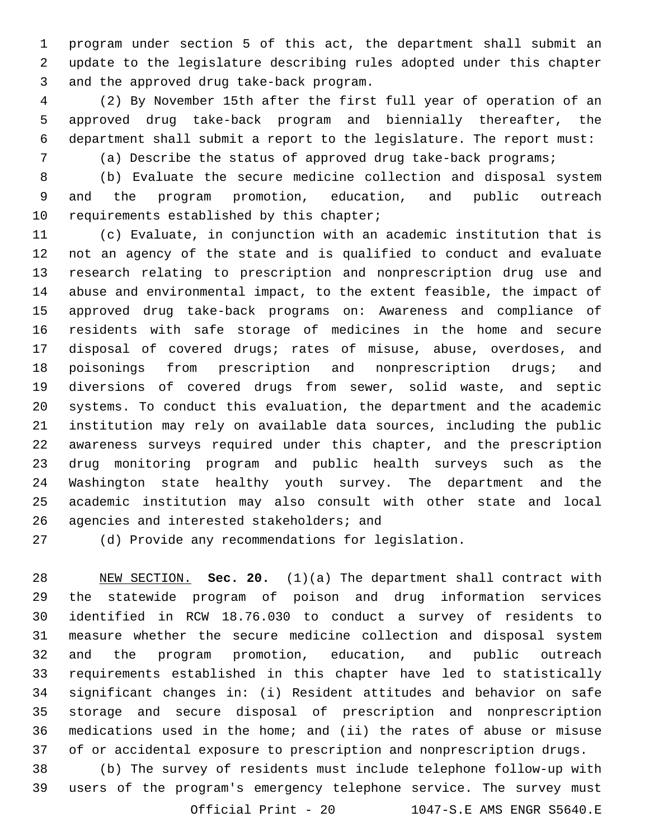program under section 5 of this act, the department shall submit an update to the legislature describing rules adopted under this chapter 3 and the approved drug take-back program.

 (2) By November 15th after the first full year of operation of an approved drug take-back program and biennially thereafter, the department shall submit a report to the legislature. The report must:

(a) Describe the status of approved drug take-back programs;

 (b) Evaluate the secure medicine collection and disposal system and the program promotion, education, and public outreach 10 requirements established by this chapter;

 (c) Evaluate, in conjunction with an academic institution that is not an agency of the state and is qualified to conduct and evaluate research relating to prescription and nonprescription drug use and abuse and environmental impact, to the extent feasible, the impact of approved drug take-back programs on: Awareness and compliance of residents with safe storage of medicines in the home and secure disposal of covered drugs; rates of misuse, abuse, overdoses, and poisonings from prescription and nonprescription drugs; and diversions of covered drugs from sewer, solid waste, and septic systems. To conduct this evaluation, the department and the academic institution may rely on available data sources, including the public awareness surveys required under this chapter, and the prescription drug monitoring program and public health surveys such as the Washington state healthy youth survey. The department and the academic institution may also consult with other state and local 26 agencies and interested stakeholders; and

(d) Provide any recommendations for legislation.

 NEW SECTION. **Sec. 20.** (1)(a) The department shall contract with the statewide program of poison and drug information services identified in RCW 18.76.030 to conduct a survey of residents to measure whether the secure medicine collection and disposal system and the program promotion, education, and public outreach requirements established in this chapter have led to statistically significant changes in: (i) Resident attitudes and behavior on safe storage and secure disposal of prescription and nonprescription medications used in the home; and (ii) the rates of abuse or misuse of or accidental exposure to prescription and nonprescription drugs.

 (b) The survey of residents must include telephone follow-up with users of the program's emergency telephone service. The survey must Official Print - 20 1047-S.E AMS ENGR S5640.E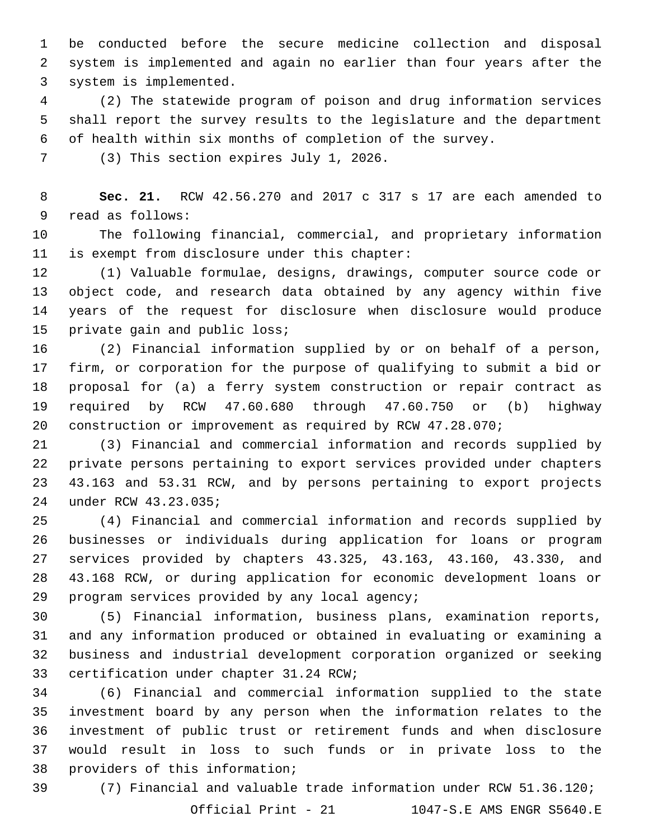be conducted before the secure medicine collection and disposal system is implemented and again no earlier than four years after the 3 system is implemented.

 (2) The statewide program of poison and drug information services shall report the survey results to the legislature and the department of health within six months of completion of the survey.

7 (3) This section expires July 1, 2026.

 **Sec. 21.** RCW 42.56.270 and 2017 c 317 s 17 are each amended to 9 read as follows:

 The following financial, commercial, and proprietary information 11 is exempt from disclosure under this chapter:

 (1) Valuable formulae, designs, drawings, computer source code or object code, and research data obtained by any agency within five years of the request for disclosure when disclosure would produce 15 private gain and public loss;

 (2) Financial information supplied by or on behalf of a person, firm, or corporation for the purpose of qualifying to submit a bid or proposal for (a) a ferry system construction or repair contract as required by RCW 47.60.680 through 47.60.750 or (b) highway construction or improvement as required by RCW 47.28.070;

 (3) Financial and commercial information and records supplied by private persons pertaining to export services provided under chapters 43.163 and 53.31 RCW, and by persons pertaining to export projects under RCW 43.23.035;24

 (4) Financial and commercial information and records supplied by businesses or individuals during application for loans or program services provided by chapters 43.325, 43.163, 43.160, 43.330, and 43.168 RCW, or during application for economic development loans or program services provided by any local agency;

 (5) Financial information, business plans, examination reports, and any information produced or obtained in evaluating or examining a business and industrial development corporation organized or seeking 33 certification under chapter 31.24 RCW;

 (6) Financial and commercial information supplied to the state investment board by any person when the information relates to the investment of public trust or retirement funds and when disclosure would result in loss to such funds or in private loss to the 38 providers of this information;

(7) Financial and valuable trade information under RCW 51.36.120;

Official Print - 21 1047-S.E AMS ENGR S5640.E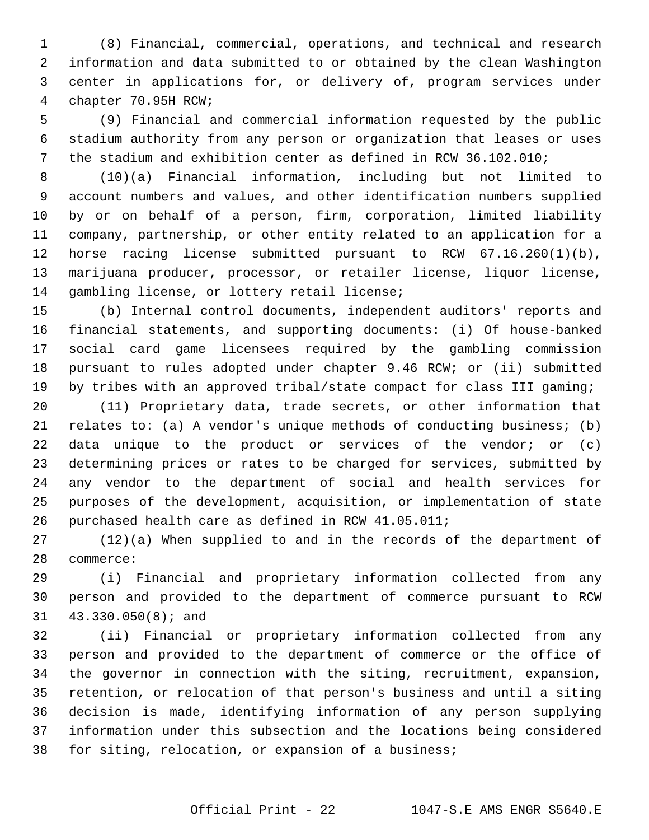(8) Financial, commercial, operations, and technical and research information and data submitted to or obtained by the clean Washington center in applications for, or delivery of, program services under 4 chapter 70.95H RCW;

 (9) Financial and commercial information requested by the public stadium authority from any person or organization that leases or uses the stadium and exhibition center as defined in RCW 36.102.010;

 (10)(a) Financial information, including but not limited to account numbers and values, and other identification numbers supplied by or on behalf of a person, firm, corporation, limited liability company, partnership, or other entity related to an application for a horse racing license submitted pursuant to RCW 67.16.260(1)(b), marijuana producer, processor, or retailer license, liquor license, 14 gambling license, or lottery retail license;

 (b) Internal control documents, independent auditors' reports and financial statements, and supporting documents: (i) Of house-banked social card game licensees required by the gambling commission pursuant to rules adopted under chapter 9.46 RCW; or (ii) submitted by tribes with an approved tribal/state compact for class III gaming;

 (11) Proprietary data, trade secrets, or other information that relates to: (a) A vendor's unique methods of conducting business; (b) data unique to the product or services of the vendor; or (c) determining prices or rates to be charged for services, submitted by any vendor to the department of social and health services for purposes of the development, acquisition, or implementation of state purchased health care as defined in RCW 41.05.011;

 (12)(a) When supplied to and in the records of the department of 28 commerce:

 (i) Financial and proprietary information collected from any person and provided to the department of commerce pursuant to RCW 31 43.330.050(8); and

 (ii) Financial or proprietary information collected from any person and provided to the department of commerce or the office of the governor in connection with the siting, recruitment, expansion, retention, or relocation of that person's business and until a siting decision is made, identifying information of any person supplying information under this subsection and the locations being considered for siting, relocation, or expansion of a business;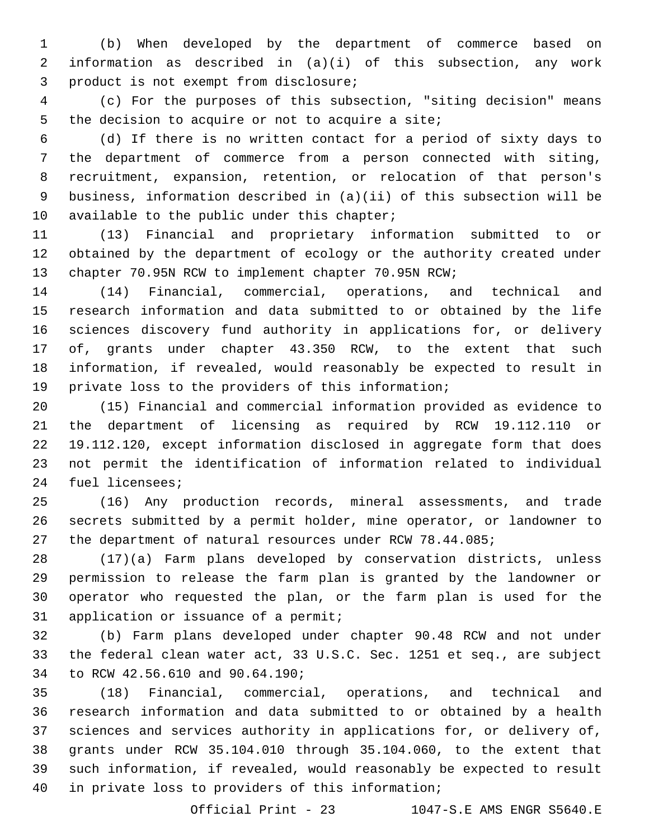(b) When developed by the department of commerce based on information as described in (a)(i) of this subsection, any work 3 product is not exempt from disclosure;

 (c) For the purposes of this subsection, "siting decision" means 5 the decision to acquire or not to acquire a site;

 (d) If there is no written contact for a period of sixty days to the department of commerce from a person connected with siting, recruitment, expansion, retention, or relocation of that person's business, information described in (a)(ii) of this subsection will be 10 available to the public under this chapter;

 (13) Financial and proprietary information submitted to or obtained by the department of ecology or the authority created under chapter 70.95N RCW to implement chapter 70.95N RCW;

 (14) Financial, commercial, operations, and technical and research information and data submitted to or obtained by the life sciences discovery fund authority in applications for, or delivery of, grants under chapter 43.350 RCW, to the extent that such information, if revealed, would reasonably be expected to result in private loss to the providers of this information;

 (15) Financial and commercial information provided as evidence to the department of licensing as required by RCW 19.112.110 or 19.112.120, except information disclosed in aggregate form that does not permit the identification of information related to individual 24 fuel licensees;

 (16) Any production records, mineral assessments, and trade secrets submitted by a permit holder, mine operator, or landowner to the department of natural resources under RCW 78.44.085;

 (17)(a) Farm plans developed by conservation districts, unless permission to release the farm plan is granted by the landowner or operator who requested the plan, or the farm plan is used for the 31 application or issuance of a permit;

 (b) Farm plans developed under chapter 90.48 RCW and not under the federal clean water act, 33 U.S.C. Sec. 1251 et seq., are subject 34 to RCW 42.56.610 and 90.64.190;

 (18) Financial, commercial, operations, and technical and research information and data submitted to or obtained by a health sciences and services authority in applications for, or delivery of, grants under RCW 35.104.010 through 35.104.060, to the extent that such information, if revealed, would reasonably be expected to result 40 in private loss to providers of this information;

Official Print - 23 1047-S.E AMS ENGR S5640.E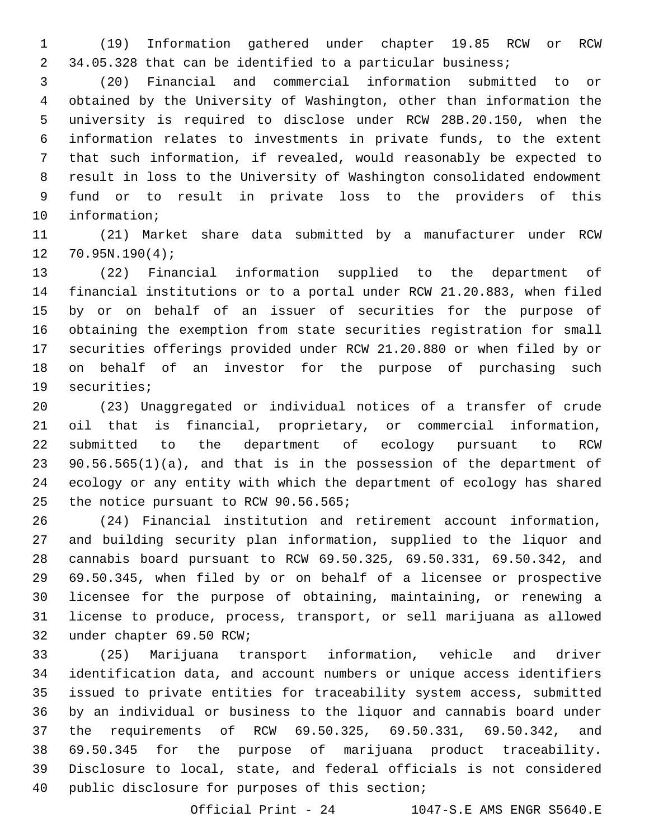(19) Information gathered under chapter 19.85 RCW or RCW 34.05.328 that can be identified to a particular business;

 (20) Financial and commercial information submitted to or obtained by the University of Washington, other than information the university is required to disclose under RCW 28B.20.150, when the information relates to investments in private funds, to the extent that such information, if revealed, would reasonably be expected to result in loss to the University of Washington consolidated endowment fund or to result in private loss to the providers of this 10 information;

 (21) Market share data submitted by a manufacturer under RCW  $12 \quad 70.95N.190(4);$ 

 (22) Financial information supplied to the department of financial institutions or to a portal under RCW 21.20.883, when filed by or on behalf of an issuer of securities for the purpose of obtaining the exemption from state securities registration for small securities offerings provided under RCW 21.20.880 or when filed by or on behalf of an investor for the purpose of purchasing such 19 securities;

 (23) Unaggregated or individual notices of a transfer of crude oil that is financial, proprietary, or commercial information, submitted to the department of ecology pursuant to RCW 90.56.565(1)(a), and that is in the possession of the department of ecology or any entity with which the department of ecology has shared 25 the notice pursuant to RCW 90.56.565;

 (24) Financial institution and retirement account information, and building security plan information, supplied to the liquor and cannabis board pursuant to RCW 69.50.325, 69.50.331, 69.50.342, and 69.50.345, when filed by or on behalf of a licensee or prospective licensee for the purpose of obtaining, maintaining, or renewing a license to produce, process, transport, or sell marijuana as allowed 32 under chapter 69.50 RCW;

 (25) Marijuana transport information, vehicle and driver identification data, and account numbers or unique access identifiers issued to private entities for traceability system access, submitted by an individual or business to the liquor and cannabis board under the requirements of RCW 69.50.325, 69.50.331, 69.50.342, and 69.50.345 for the purpose of marijuana product traceability. Disclosure to local, state, and federal officials is not considered 40 public disclosure for purposes of this section;

Official Print - 24 1047-S.E AMS ENGR S5640.E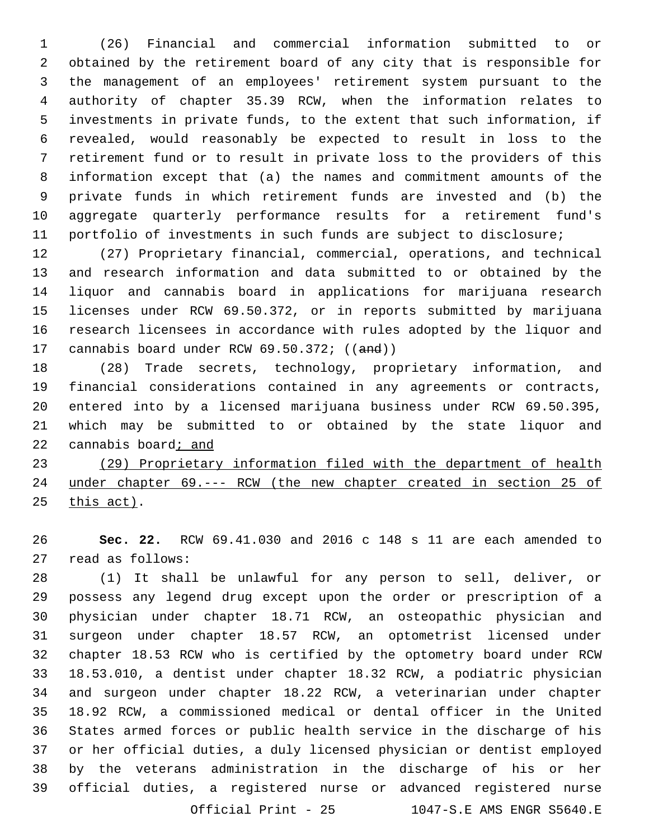(26) Financial and commercial information submitted to or obtained by the retirement board of any city that is responsible for the management of an employees' retirement system pursuant to the authority of chapter 35.39 RCW, when the information relates to investments in private funds, to the extent that such information, if revealed, would reasonably be expected to result in loss to the retirement fund or to result in private loss to the providers of this information except that (a) the names and commitment amounts of the private funds in which retirement funds are invested and (b) the aggregate quarterly performance results for a retirement fund's portfolio of investments in such funds are subject to disclosure;

 (27) Proprietary financial, commercial, operations, and technical and research information and data submitted to or obtained by the liquor and cannabis board in applications for marijuana research licenses under RCW 69.50.372, or in reports submitted by marijuana research licensees in accordance with rules adopted by the liquor and 17 cannabis board under RCW 69.50.372; ((and))

 (28) Trade secrets, technology, proprietary information, and financial considerations contained in any agreements or contracts, entered into by a licensed marijuana business under RCW 69.50.395, which may be submitted to or obtained by the state liquor and cannabis board; and

 (29) Proprietary information filed with the department of health under chapter 69.--- RCW (the new chapter created in section 25 of this act).

 **Sec. 22.** RCW 69.41.030 and 2016 c 148 s 11 are each amended to 27 read as follows:

 (1) It shall be unlawful for any person to sell, deliver, or possess any legend drug except upon the order or prescription of a physician under chapter 18.71 RCW, an osteopathic physician and surgeon under chapter 18.57 RCW, an optometrist licensed under chapter 18.53 RCW who is certified by the optometry board under RCW 18.53.010, a dentist under chapter 18.32 RCW, a podiatric physician and surgeon under chapter 18.22 RCW, a veterinarian under chapter 18.92 RCW, a commissioned medical or dental officer in the United States armed forces or public health service in the discharge of his or her official duties, a duly licensed physician or dentist employed by the veterans administration in the discharge of his or her official duties, a registered nurse or advanced registered nurse Official Print - 25 1047-S.E AMS ENGR S5640.E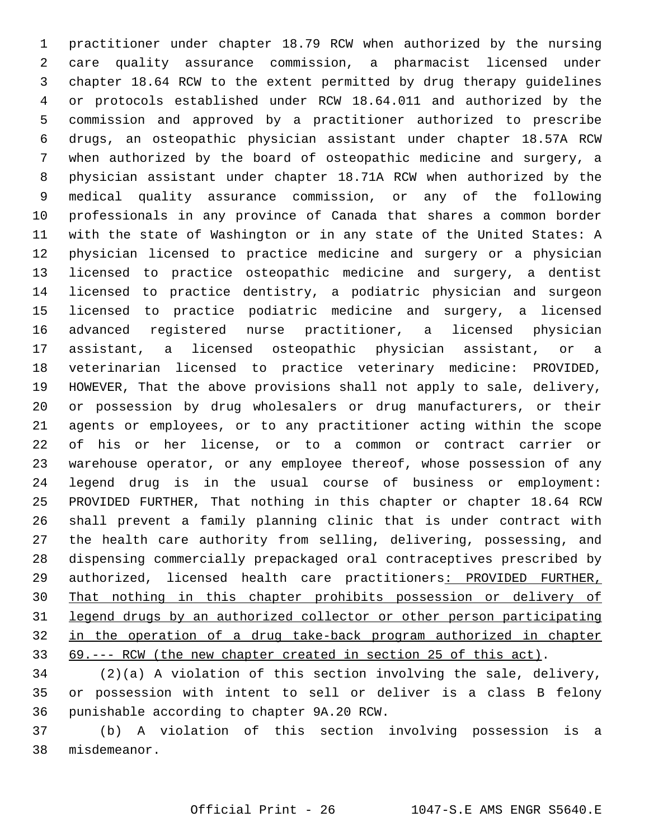practitioner under chapter 18.79 RCW when authorized by the nursing care quality assurance commission, a pharmacist licensed under chapter 18.64 RCW to the extent permitted by drug therapy guidelines or protocols established under RCW 18.64.011 and authorized by the commission and approved by a practitioner authorized to prescribe drugs, an osteopathic physician assistant under chapter 18.57A RCW when authorized by the board of osteopathic medicine and surgery, a physician assistant under chapter 18.71A RCW when authorized by the medical quality assurance commission, or any of the following professionals in any province of Canada that shares a common border with the state of Washington or in any state of the United States: A physician licensed to practice medicine and surgery or a physician licensed to practice osteopathic medicine and surgery, a dentist licensed to practice dentistry, a podiatric physician and surgeon licensed to practice podiatric medicine and surgery, a licensed advanced registered nurse practitioner, a licensed physician assistant, a licensed osteopathic physician assistant, or a veterinarian licensed to practice veterinary medicine: PROVIDED, HOWEVER, That the above provisions shall not apply to sale, delivery, or possession by drug wholesalers or drug manufacturers, or their agents or employees, or to any practitioner acting within the scope of his or her license, or to a common or contract carrier or warehouse operator, or any employee thereof, whose possession of any legend drug is in the usual course of business or employment: PROVIDED FURTHER, That nothing in this chapter or chapter 18.64 RCW shall prevent a family planning clinic that is under contract with the health care authority from selling, delivering, possessing, and dispensing commercially prepackaged oral contraceptives prescribed by 29 authorized, licensed health care practitioners: PROVIDED FURTHER, That nothing in this chapter prohibits possession or delivery of legend drugs by an authorized collector or other person participating in the operation of a drug take-back program authorized in chapter 69.--- RCW (the new chapter created in section 25 of this act).

 (2)(a) A violation of this section involving the sale, delivery, or possession with intent to sell or deliver is a class B felony 36 punishable according to chapter 9A.20 RCW.

 (b) A violation of this section involving possession is a misdemeanor.38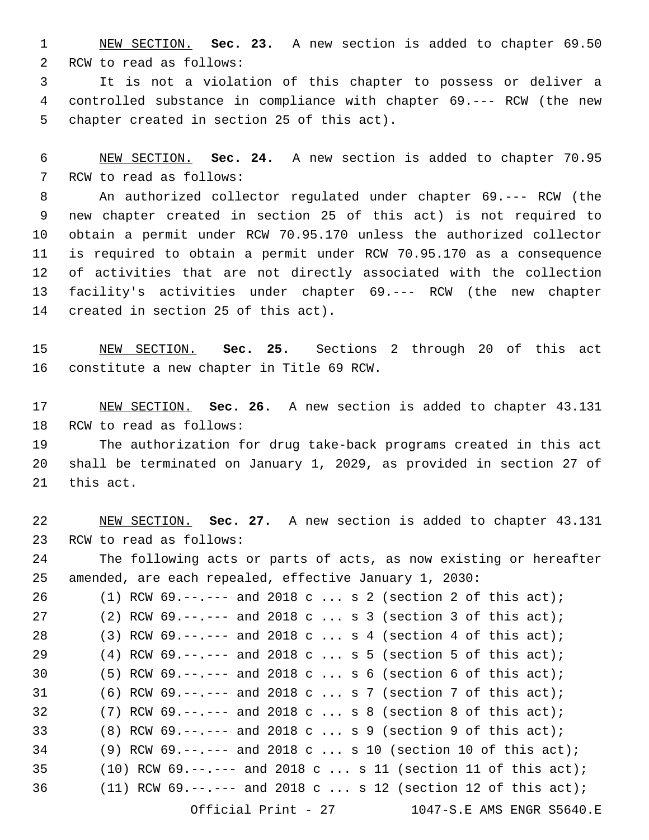NEW SECTION. **Sec. 23.** A new section is added to chapter 69.50 2 RCW to read as follows:

 It is not a violation of this chapter to possess or deliver a controlled substance in compliance with chapter 69.--- RCW (the new 5 chapter created in section 25 of this act).

 NEW SECTION. **Sec. 24.** A new section is added to chapter 70.95 7 RCW to read as follows:

 An authorized collector regulated under chapter 69.--- RCW (the new chapter created in section 25 of this act) is not required to obtain a permit under RCW 70.95.170 unless the authorized collector is required to obtain a permit under RCW 70.95.170 as a consequence of activities that are not directly associated with the collection facility's activities under chapter 69.--- RCW (the new chapter 14 created in section 25 of this act).

 NEW SECTION. **Sec. 25.** Sections 2 through 20 of this act constitute a new chapter in Title 69 RCW.

 NEW SECTION. **Sec. 26.** A new section is added to chapter 43.131 18 RCW to read as follows:

 The authorization for drug take-back programs created in this act shall be terminated on January 1, 2029, as provided in section 27 of 21 this act.

 NEW SECTION. **Sec. 27.** A new section is added to chapter 43.131 23 RCW to read as follows: The following acts or parts of acts, as now existing or hereafter amended, are each repealed, effective January 1, 2030: (1) RCW 69.--.--- and 2018 c ... s 2 (section 2 of this act); (2) RCW 69.--.--- and 2018 c ... s 3 (section 3 of this act); 28 (3) RCW 69.--.--- and 2018 c ... s 4 (section 4 of this act); (4) RCW 69.--.--- and 2018 c ... s 5 (section 5 of this act); (5) RCW 69.--.--- and 2018 c ... s 6 (section 6 of this act); (6) RCW 69.--.--- and 2018 c ... s 7 (section 7 of this act); (7) RCW 69.--.--- and 2018 c ... s 8 (section 8 of this act); (8) RCW 69.--.--- and 2018 c ... s 9 (section 9 of this act); (9) RCW 69.--.--- and 2018 c ... s 10 (section 10 of this act); 35 (10) RCW  $69. -- ---$  and  $2018$  c ... s 11 (section 11 of this act); (11) RCW 69.--.--- and 2018 c ... s 12 (section 12 of this act); Official Print - 27 1047-S.E AMS ENGR S5640.E